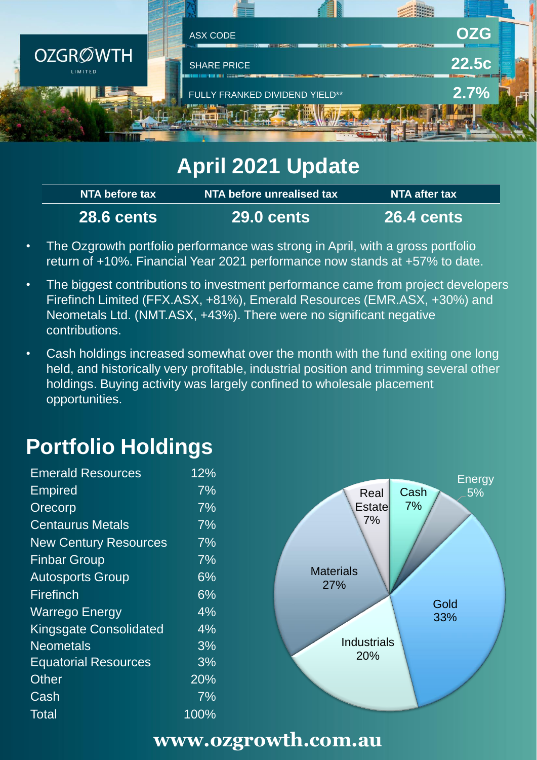

# **April 2021 Update**

| NTA before tax    | NTA before unrealised tax. | NTA after tax        |
|-------------------|----------------------------|----------------------|
| <b>28.6 cents</b> | <b>\29.0 cents</b> \       | $\,$ 26.4 cents $\,$ |

- The Ozgrowth portfolio performance was strong in April, with a gross portfolio return of +10%. Financial Year 2021 performance now stands at +57% to date.
- The biggest contributions to investment performance came from project developers Firefinch Limited (FFX.ASX, +81%), Emerald Resources (EMR.ASX, +30%) and Neometals Ltd. (NMT.ASX, +43%). There were no significant negative contributions.
- Cash holdings increased somewhat over the month with the fund exiting one long held, and historically very profitable, industrial position and trimming several other holdings. Buying activity was largely confined to wholesale placement opportunities.

# **Portfolio Holdings**

| <b>Emerald Resources</b>      | 12%   |
|-------------------------------|-------|
| <b>Empired</b>                | 7%    |
| Orecorp                       | $7\%$ |
| <b>Centaurus Metals</b>       | 7%    |
| <b>New Century Resources</b>  | $7\%$ |
| <b>Finbar Group</b>           | 7%    |
| <b>Autosports Group</b>       | $6\%$ |
| Firefinch                     | $6\%$ |
| <b>Warrego Energy</b>         | 4%    |
| <b>Kingsgate Consolidated</b> | 4%    |
| <b>Neometals</b>              | 3%    |
| <b>Equatorial Resources</b>   | 3%    |
| <b>Other</b>                  | 20%   |
| Cash                          | 7%    |
| Total                         | 100%  |
|                               |       |



### **www.ozgrowth.com.au**